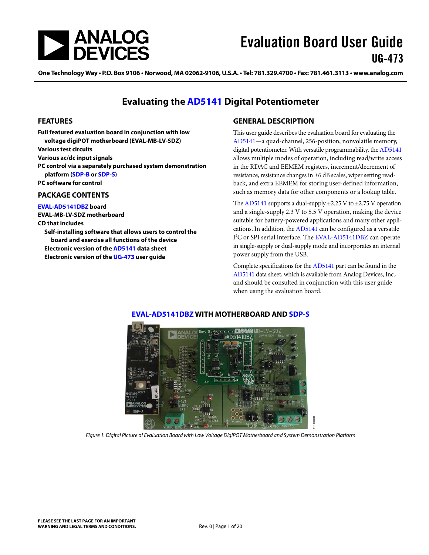

One Technology Way • P.O. Box 9106 • Norwood, MA 02062-9106, U.S.A. • Tel: 781.329.4700 • Fax: 781.461.3113 • www.analog.com

### **Evaluating the [AD5141](http://www.analog.com/AD5141) Digital Potentiometer**

#### <span id="page-0-0"></span>**FEATURES**

**Full featured evaluation board in conjunction with low voltage digiPOT motherboard (EVAL-MB-LV-SDZ) Various test circuits Various ac/dc input signals PC control via a separately purchased system demonstration platform [\(SDP-B](http://www.analog.com/SDP) o[r SDP-S\)](http://www.analog.com/SDP) PC software for control PACKAGE CONTENTS**

<span id="page-0-1"></span>**[EVAL-AD5141DBZ](http://www.analog.com/AD5141) board**

**EVAL-MB-LV-SDZ motherboard**

#### **CD that includes**

<span id="page-0-3"></span>**Self-installing software that allows users to control the board and exercise all functions of the device Electronic version of th[e AD5141](http://www.analog.com/AD5141) data sheet Electronic version of th[e UG-473](http://www.analog.com/UG-473) user guide**

#### <span id="page-0-2"></span>**GENERAL DESCRIPTION**

This user guide describes the evaluation board for evaluating the [AD5141—](http://www.analog.com/AD5141)a quad-channel, 256-position, nonvolatile memory, digital potentiometer. With versatile programmability, th[e AD5141](http://www.analog.com/AD5141) allows multiple modes of operation, including read/write access in the RDAC and EEMEM registers, increment/decrement of resistance, resistance changes in ±6 dB scales, wiper setting readback, and extra EEMEM for storing user-defined information, such as memory data for other components or a lookup table.

Th[e AD5141](http://www.analog.com/AD5141) supports a dual-supply  $\pm$ 2.25 V to  $\pm$ 2.75 V operation and a single-supply 2.3 V to 5.5 V operation, making the device suitable for battery-powered applications and many other applications. In addition, th[e AD5141](http://www.analog.com/AD5141) can be configured as a versatile I<sup>2</sup>C or SPI serial interface. The [EVAL-AD5141DBZ](http://www.analog.com/AD5141) can operate in single-supply or dual-supply mode and incorporates an internal power supply from the USB.

Complete specifications for th[e AD5141](http://www.analog.com/AD5141) part can be found in the [AD5141](http://www.analog.com/AD5141) data sheet, which is available from Analog Devices, Inc., and should be consulted in conjunction with this user guide when using the evaluation board.

11010-001



#### **[EVAL-AD5141DBZ](http://www.analog.com/AD5141) WITH MOTHERBOARD AND [SDP-S](http://www.analog.com/SDP)**

*Figure 1. Digital Picture of Evaluation Board with Low Voltage DigiPOT Motherboard and System Demonstration Platform*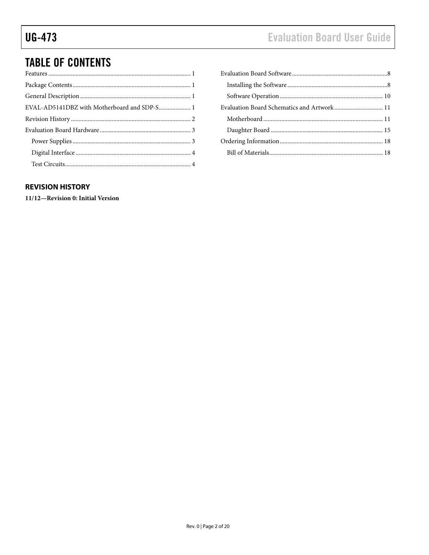# **Evaluation Board User Guide**

## **TABLE OF CONTENTS**

### <span id="page-1-0"></span>**REVISION HISTORY**

11/12-Revision 0: Initial Version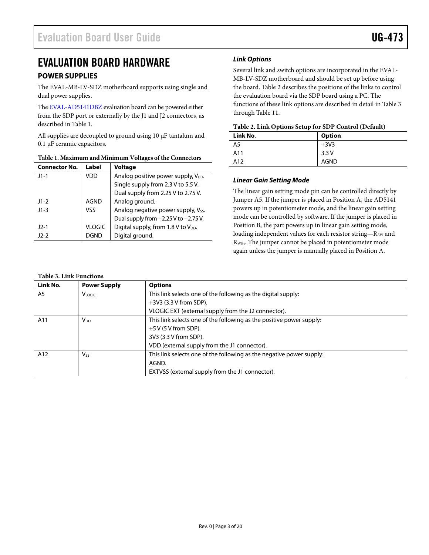### <span id="page-2-0"></span>EVALUATION BOARD HARDWARE

### <span id="page-2-1"></span>**POWER SUPPLIES**

The EVAL-MB-LV-SDZ motherboard supports using single and dual power supplies.

Th[e EVAL-AD5141DBZ](http://www.analog.com/AD5141) evaluation board can be powered either from the SDP port or externally by the J1 and J2 connectors, as described in [Table 1.](#page-2-2)

All supplies are decoupled to ground using 10 µF tantalum and 0.1 µF ceramic capacitors.

| <b>Connector No.</b> | Label         | <b>Voltage</b>                                  |  |
|----------------------|---------------|-------------------------------------------------|--|
| $11 - 1$             | VDD           | Analog positive power supply, V <sub>DD</sub> . |  |
|                      |               | Single supply from 2.3 V to 5.5 V.              |  |
|                      |               | Dual supply from 2.25 V to 2.75 V.              |  |
| $11-2$               | <b>AGND</b>   | Analog ground.                                  |  |
| $J1-3$               | <b>VSS</b>    | Analog negative power supply, Vss.              |  |
|                      |               | Dual supply from $-2.25$ V to $-2.75$ V.        |  |
| $J2-1$               | <b>VLOGIC</b> | Digital supply, from 1.8 V to V <sub>DD</sub> . |  |
| $12-2$               | DGND          | Digital ground.                                 |  |
|                      |               |                                                 |  |

#### <span id="page-2-2"></span>**Table 1. Maximum and Minimum Voltages of the Connectors**

#### *Link Options*

Several link and switch options are incorporated in the EVAL-MB-LV-SDZ motherboard and should be set up before using the board. [Table 2](#page-2-3) describes the positions of the links to control the evaluation board via the SDP board using a PC. The functions of these link options are described in detail in [Table 3](#page-2-4) through [Table 11.](#page-6-0)

<span id="page-2-3"></span>

| Link No. | <b>Option</b> |  |
|----------|---------------|--|
| A5       | $+3V3$        |  |
| A11      | 3.3V          |  |
| A12      | <b>AGND</b>   |  |

#### *Linear Gain Setting Mode*

The linear gain setting mode pin can be controlled directly by Jumper A5. If the jumper is placed in Position A, the AD5141 powers up in potentiometer mode, and the linear gain setting mode can be controlled by software. If the jumper is placed in Position B, the part powers up in linear gain setting mode, loading independent values for each resistor string—RAW and RWB,. The jumper cannot be placed in potentiometer mode again unless the jumper is manually placed in Position A.

#### <span id="page-2-4"></span>**Table 3. Link Functions**

| Link No. | <b>Power Supply</b> | <b>Options</b>                                                       |
|----------|---------------------|----------------------------------------------------------------------|
| A5       | <b>VLOGIC</b>       | This link selects one of the following as the digital supply:        |
|          |                     | $+3V3$ (3.3 V from SDP).                                             |
|          |                     | VLOGIC EXT (external supply from the J2 connector).                  |
| A11      | V <sub>DD</sub>     | This link selects one of the following as the positive power supply: |
|          |                     | $+5$ V (5 V from SDP).                                               |
|          |                     | 3V3 (3.3 V from SDP).                                                |
|          |                     | VDD (external supply from the J1 connector).                         |
| A12      | <b>V</b> ss         | This link selects one of the following as the negative power supply: |
|          |                     | AGND.                                                                |
|          |                     | EXTVSS (external supply from the J1 connector).                      |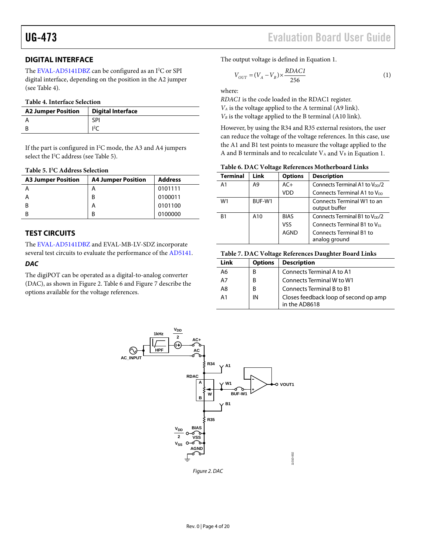#### <span id="page-3-0"></span>**DIGITAL INTERFACE**

The [EVAL-AD5141DBZ](http://www.analog.com/AD5141) can be configured as an I<sup>2</sup>C or SPI digital interface, depending on the position in the A2 jumper (see [Table 4\)](#page-3-2).

#### <span id="page-3-2"></span>**Table 4. Interface Selection**

| <b>A2 Jumper Position</b> | <b>Digital Interface</b> |
|---------------------------|--------------------------|
|                           | SPI                      |
|                           | 12 <sub>c</sub>          |

If the part is configured in  $I^2C$  mode, the A3 and A4 jumpers select the  $I^2C$  address (se[e Table 5\)](#page-3-3).

<span id="page-3-3"></span>**Table 5. I2 C Address Selection**

| <b>A3 Jumper Position</b> | <b>A4 Jumper Position</b> | <b>Address</b> |
|---------------------------|---------------------------|----------------|
|                           | А                         | 0101111        |
|                           | B                         | 0100011        |
| -B                        | А                         | 0101100        |
|                           | R                         | 0100000        |

#### <span id="page-3-1"></span>**TEST CIRCUITS**

The [EVAL-AD5141DBZ](http://www.analog.com/AD5141) and EVAL-MB-LV-SDZ incorporate several test circuits to evaluate the performance of th[e AD5141.](http://www.analog.com/AD5141)

#### *DAC*

The digiPOT can be operated as a digital-to-analog converter (DAC), as shown in [Figure 2.](#page-3-4) [Table 6](#page-3-5) and [Figure 7](#page-5-0) describe the options available for the voltage references.

The output voltage is defined in Equation 1.

$$
V_{OUT} = (V_A - V_B) \times \frac{RDACI}{256}
$$
 (1)

where:

*RDAC1* is the code loaded in the RDAC1 register. *VA* is the voltage applied to the A terminal (A9 link). *VB* is the voltage applied to the B terminal (A10 link).

However, by using the R34 and R35 external resistors, the user can reduce the voltage of the voltage references. In this case, use the A1 and B1 test points to measure the voltage applied to the A and B terminals and to recalculate  $V_A$  and  $V_B$  in Equation 1.

<span id="page-3-5"></span>

|  |  |  |  | Table 6. DAC Voltage References Motherboard Links |  |
|--|--|--|--|---------------------------------------------------|--|
|--|--|--|--|---------------------------------------------------|--|

| <b>Terminal</b> | Link   | <b>Options</b> | <b>Description</b>                          |
|-----------------|--------|----------------|---------------------------------------------|
| A <sub>1</sub>  | A9     | $AC+$          | Connects Terminal A1 to $V_{DD}/2$          |
|                 |        | VDD            | Connects Terminal A1 to $V_{DD}$            |
| W1              | BUF-W1 |                | Connects Terminal W1 to an<br>output buffer |
| B1              | A10    | <b>BIAS</b>    | Connects Terminal B1 to $V_{DD}/2$          |
|                 |        | <b>VSS</b>     | Connects Terminal B1 to Vss                 |
|                 |        | AGND           | Connects Terminal B1 to<br>analog ground    |

#### **Table 7. DAC Voltage References Daughter Board Links**

| Link | <b>Options</b> | <b>Description</b>                                     |
|------|----------------|--------------------------------------------------------|
| A6   | B              | Connects Terminal A to A1                              |
| A7   | B              | Connects Terminal W to W1                              |
| A8   | B              | Connects Terminal B to B1                              |
| A1   | IN             | Closes feedback loop of second op amp<br>in the AD8618 |

<span id="page-3-4"></span>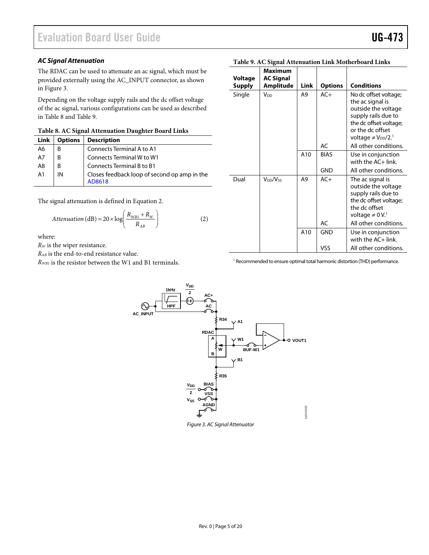#### *AC Signal Attenuation*

The RDAC can be used to attenuate an ac signal, which must be provided externally using the AC\_INPUT connector, as shown in [Figure 3.](#page-4-0)

Depending on the voltage supply rails and the dc offset voltage of the ac signal, various configurations can be used as described in [Table 8](#page-4-1) an[d Table 9.](#page-4-2)

<span id="page-4-1"></span>**Table 8. AC Signal Attenuation Daughter Board Links**

| Link           | <b>Options</b> | <b>Description</b>                                     |
|----------------|----------------|--------------------------------------------------------|
| A6             | В              | Connects Terminal A to A1                              |
| A7             | В              | Connects Terminal W to W1                              |
| A <sub>8</sub> | B              | Connects Terminal B to B1                              |
| A <sub>1</sub> | IN             | Closes feedback loop of second op amp in the<br>AD8618 |

The signal attenuation is defined in Equation 2.

$$
Attention (dB) = 20 \times \log \left( \frac{R_{WB1} + R_W}{R_{AB}} \right)
$$
 (2)

where:

*RW* is the wiper resistance.

*RAB* is the end-to-end resistance value.

<span id="page-4-0"></span>*RWB1* is the resistor between the W1 and B1 terminals.

| Voltage       | <b>Maximum</b><br><b>AC Signal</b> |                |                |                                                                                                                                                                                   |
|---------------|------------------------------------|----------------|----------------|-----------------------------------------------------------------------------------------------------------------------------------------------------------------------------------|
| <b>Supply</b> | <b>Amplitude</b>                   | Link           | <b>Options</b> | <b>Conditions</b>                                                                                                                                                                 |
| Single        | V <sub>DD</sub>                    | A9             | $AC+$          | No dc offset voltage;<br>the ac signal is<br>outside the voltage<br>supply rails due to<br>the dc offset voltage;<br>or the dc offset<br>voltage $\neq$ $V_{DD}/2$ . <sup>1</sup> |
|               |                                    |                | AC             | All other conditions.                                                                                                                                                             |
|               |                                    | A10            | <b>BIAS</b>    | Use in conjunction<br>with the AC+ link.                                                                                                                                          |
|               |                                    |                | <b>GND</b>     | All other conditions.                                                                                                                                                             |
| Dual          | $V_{DD}/V_{SS}$                    | A <sub>9</sub> | $AC+$          | The ac signal is<br>outside the voltage<br>supply rails due to<br>the dc offset voltage;<br>the dc offset<br>voltage $\neq 0 \, V$ . <sup>1</sup>                                 |
|               |                                    |                | AC             | All other conditions.                                                                                                                                                             |
|               |                                    | A10            | GND            | Use in conjunction<br>with the AC+ link.                                                                                                                                          |
|               |                                    |                | VSS            | All other conditions.                                                                                                                                                             |

#### <span id="page-4-2"></span>**Table 9. AC Signal Attenuation Link Motherboard Links**

<sup>1</sup> Recommended to ensure optimal total harmonic distortion (THD) performance.

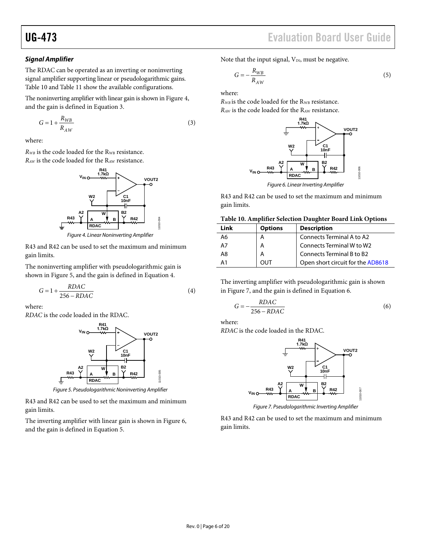# UG-473 Evaluation Board User Guide

#### *Signal Amplifier*

The RDAC can be operated as an inverting or noninverting signal amplifier supporting linear or pseudologarithmic gains. [Table 10](#page-5-1) an[d Table 11](#page-6-0) show the available configurations.

The noninverting amplifier with linear gain is shown i[n Figure 4,](#page-5-2) and the gain is defined in Equation 3.

$$
G = 1 + \frac{R_{WB}}{R_{AW}}
$$
 (3)

where:

 $R_{WB}$  is the code loaded for the  $R_{WB}$  resistance. *RAW* is the code loaded for the RAW resistance.



*Figure 4. Linear Noninverting Amplifier*

<span id="page-5-2"></span>R43 and R42 can be used to set the maximum and minimum gain limits.

The noninverting amplifier with pseudologarithmic gain is shown in [Figure 5,](#page-5-3) and the gain is defined in Equation 4.

$$
G = 1 + \frac{RDAC}{256 - RDAC} \tag{4}
$$

where:

*RDAC* is the code loaded in the RDAC.



*Figure 5. Pseudologarithmic Noninverting Amplifier*

<span id="page-5-3"></span>R43 and R42 can be used to set the maximum and minimum gain limits.

The inverting amplifier with linear gain is shown in [Figure 6,](#page-5-4) and the gain is defined in Equation 5.

Note that the input signal,  $V_{IN}$ , must be negative.

$$
G = -\frac{R_{WB}}{R_{AW}}\tag{5}
$$

where:

*RWB* is the code loaded for the RWB resistance. *RAW* is the code loaded for the RAW resistance.



<span id="page-5-4"></span>R43 and R42 can be used to set the maximum and minimum gain limits.

#### <span id="page-5-1"></span>**Table 10. Amplifier Selection Daughter Board Link Options**

| Link       | <b>Options</b> | <b>Description</b>                |
|------------|----------------|-----------------------------------|
| A6         | А              | Connects Terminal A to A2         |
| A7         | А              | Connects Terminal W to W2         |
| A8         | A              | Connects Terminal B to B2         |
| $\Delta$ 1 |                | Open short circuit for the AD8618 |

The inverting amplifier with pseudologarithmic gain is shown in [Figure 7,](#page-5-0) and the gain is defined in Equation 6.

$$
G = -\frac{RDAC}{256 - RDAC} \tag{6}
$$

where:

*RDAC* is the code loaded in the RDAC.



*Figure 7. Pseudologarithmic Inverting Amplifier*

<span id="page-5-0"></span>R43 and R42 can be used to set the maximum and minimum gain limits.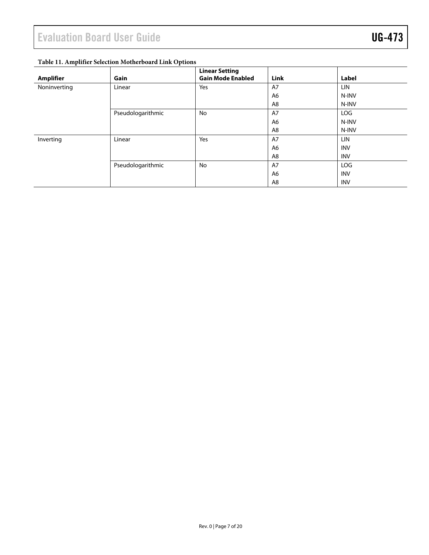### <span id="page-6-0"></span>**Table 11. Amplifier Selection Motherboard Link Options**

| <b>Amplifier</b> | Gain              | <b>Linear Setting</b><br><b>Gain Mode Enabled</b> | <b>Link</b> | Label      |
|------------------|-------------------|---------------------------------------------------|-------------|------------|
| Noninverting     | Linear            | Yes                                               | A7          | <b>LIN</b> |
|                  |                   |                                                   | A6          | N-INV      |
|                  |                   |                                                   | A8          | N-INV      |
|                  | Pseudologarithmic | No                                                | A7          | LOG        |
|                  |                   |                                                   | A6          | N-INV      |
|                  |                   |                                                   | A8          | N-INV      |
| Inverting        | Linear            | Yes                                               | A7          | LIN        |
|                  |                   |                                                   | A6          | <b>INV</b> |
|                  |                   |                                                   | A8          | <b>INV</b> |
|                  | Pseudologarithmic | No                                                | A7          | LOG        |
|                  |                   |                                                   | A6          | <b>INV</b> |
|                  |                   |                                                   | A8          | <b>INV</b> |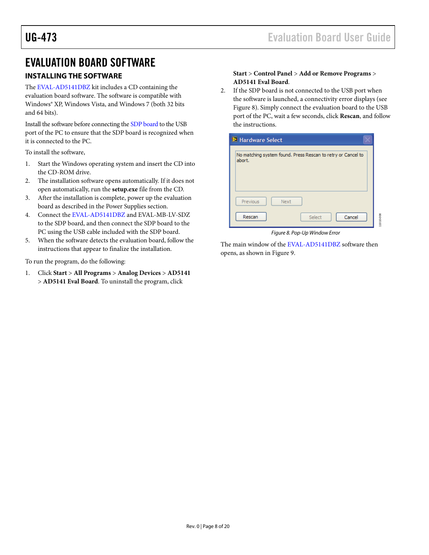### <span id="page-7-0"></span>EVALUATION BOARD SOFTWARE

#### <span id="page-7-1"></span>**INSTALLING THE SOFTWARE**

The [EVAL-AD5141DBZ](http://www.analog.com/AD5141) kit includes a CD containing the evaluation board software. The software is compatible with Windows® XP, Windows Vista, and Windows 7 (both 32 bits and 64 bits).

Install the software before connecting the [SDP board](http://www.analog.com/sdp) to the USB port of the PC to ensure that the SDP board is recognized when it is connected to the PC.

To install the software,

- 1. Start the Windows operating system and insert the CD into the CD-ROM drive.
- 2. The installation software opens automatically. If it does not open automatically, run the **setup.exe** file from the CD.
- 3. After the installation is complete, power up the evaluation board as described in the [Power Supplies](#page-2-1) section.
- 4. Connect the [EVAL-AD5141DBZ](http://www.analog.com/AD5141) and EVAL-MB-LV-SDZ to the SDP board, and then connect the SDP board to the PC using the USB cable included with the SDP board.
- 5. When the software detects the evaluation board, follow the instructions that appear to finalize the installation.

To run the program, do the following:

1. Click **Start** > **All Programs** > **Analog Devices** > **AD5141** > **AD5141 Eval Board**. To uninstall the program, click

#### **Start** > **Control Panel** > **Add or Remove Programs** > **AD5141 Eval Board**.

2. If the SDP board is not connected to the USB port when the software is launched, a connectivity error displays (see [Figure 8\)](#page-7-2). Simply connect the evaluation board to the USB port of the PC, wait a few seconds, click **Rescan**, and follow the instructions.

| <b>E</b> Hardware Select                                               |  |  |  |
|------------------------------------------------------------------------|--|--|--|
| No matching system found. Press Rescan to retry or Cancel to<br>abort. |  |  |  |
| Previous<br>Next                                                       |  |  |  |
| Rescan<br>Cancel<br>Select                                             |  |  |  |

*Figure 8. Pop-Up Window Error*

<span id="page-7-2"></span>The main window of th[e EVAL-AD5141DBZ](http://www.analog.com/AD5141) software then opens, as shown i[n Figure 9.](#page-8-0)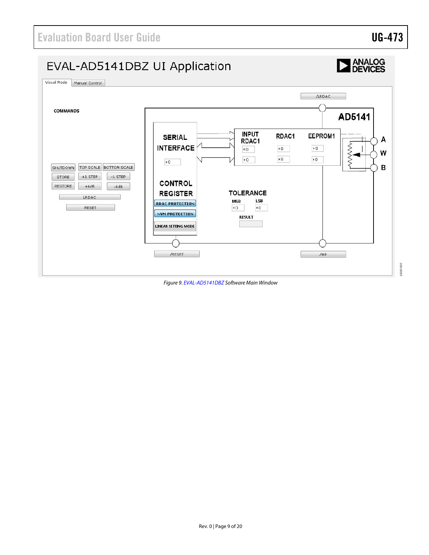

<span id="page-8-0"></span>*Figure 9[. EVAL-AD5141DBZ](http://www.analog.com/AD5141) Software Main Window*

11010-020

11010-020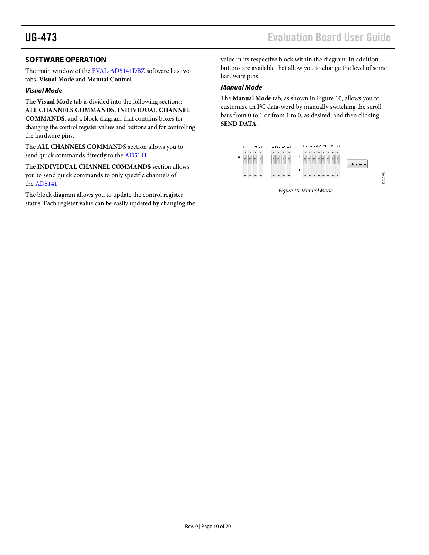### <span id="page-9-0"></span>**SOFTWARE OPERATION**

The main window of th[e EVAL-AD5141DBZ](http://www.analog.com/AD5141) software has two tabs, **Visual Mode** and **Manual Control**.

#### *Visual Mode*

The **Visual Mode** tab is divided into the following sections: **ALL CHANNELS COMMANDS**, **INDIVIDUAL CHANNEL** 

**COMMANDS**, and a block diagram that contains boxes for changing the control register values and buttons and for controlling the hardware pins.

The **ALL CHANNELS COMMANDS** section allows you to send quick commands directly to th[e AD5141.](http://www.analog.com/AD5141)

The **INDIVIDUAL CHANNEL COMMANDS** section allows you to send quick commands to only specific channels of the [AD5141.](http://www.analog.com/AD5141)

The block diagram allows you to update the control register status. Each register value can be easily updated by changing the value in its respective block within the diagram. In addition, buttons are available that allow you to change the level of some hardware pins.

#### *Manual Mode*

The **Manual Mode** tab, as shown i[n Figure 10,](#page-9-1) allows you to customize an I 2 C data-word by manually switching the scroll bars from 0 to 1 or from 1 to 0, as desired, and then clicking **SEND DATA**.

<span id="page-9-1"></span>

*Figure 10. Manual Mode*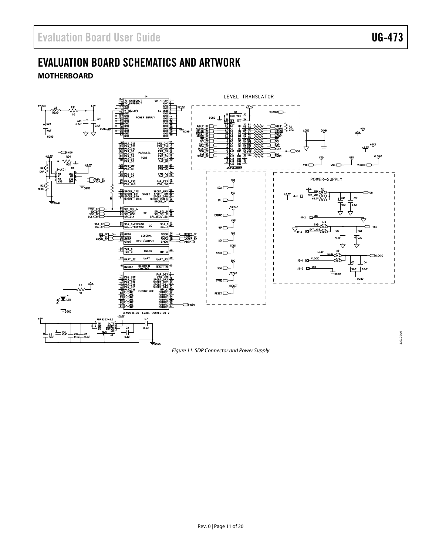# <span id="page-10-0"></span>EVALUATION BOARD SCHEMATICS AND ARTWORK

<span id="page-10-1"></span>**MOTHERBOARD**



#### *Figure 11. SDP Connector and Power Supply*

11010-010 11010-010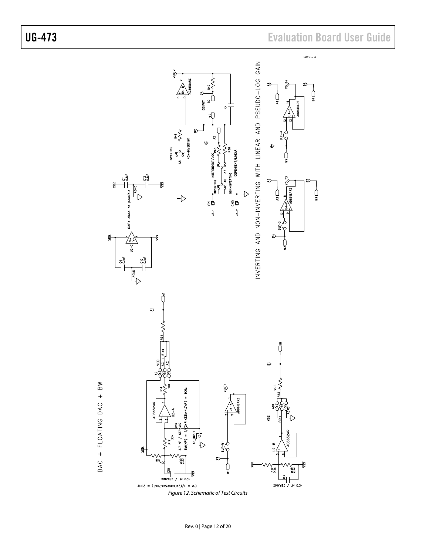# UG-473 Evaluation Board User Guide

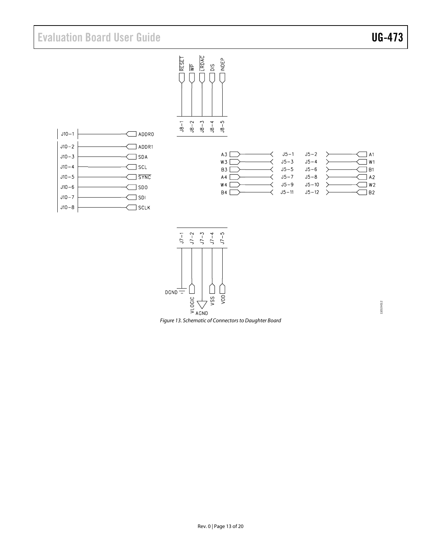## Evaluation Board User Guide Communication Control of Control of Control Control Control Control Control Control Control Control Control Control Control Control Control Control Control Control Control Control Control Contro

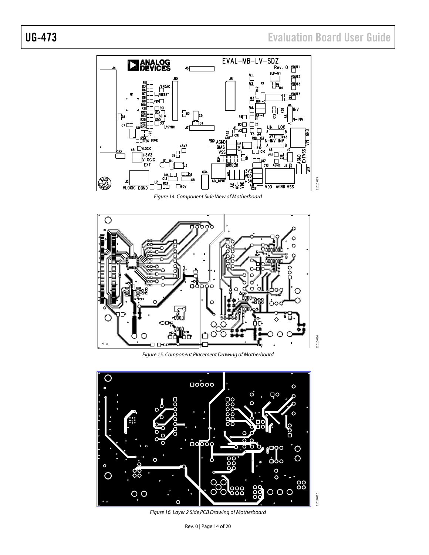## UG-473 Evaluation Board User Guide



*Figure 14. Component Side View of Motherboard*



*Figure 15. Component Placement Drawing of Motherboard*



*Figure 16. Layer 2 Side PCB Drawing of Motherboard*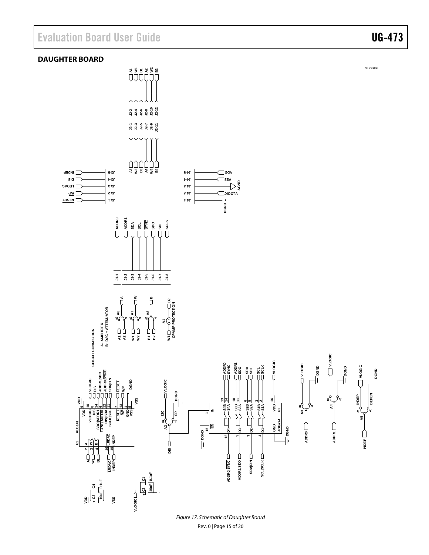<span id="page-14-0"></span>

Rev. 0 | Page 15 of 20 *Figure 17. Schematic of Daughter Board*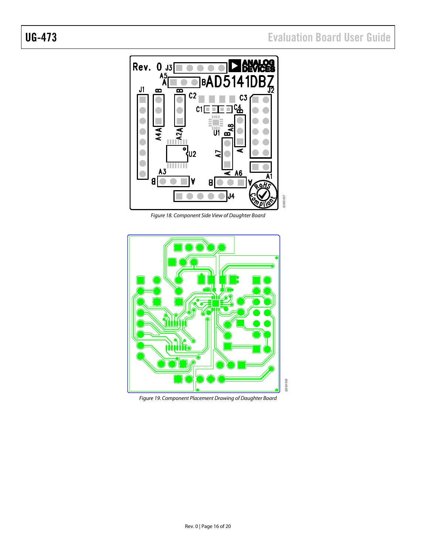

*Figure 18. Component Side View of Daughter Board*



*Figure 19. Component Placement Drawing of Daughter Board*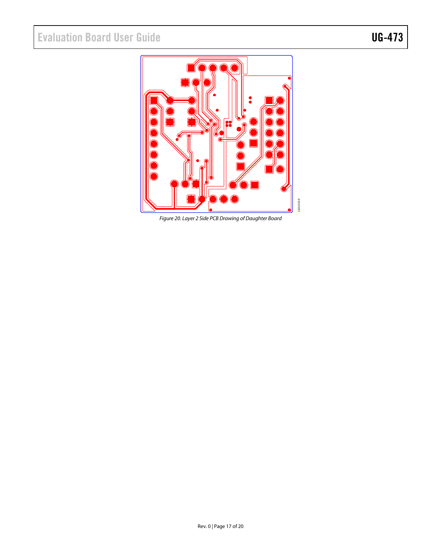

*Figure 20. Layer 2 Side PCB Drawing of Daughter Board*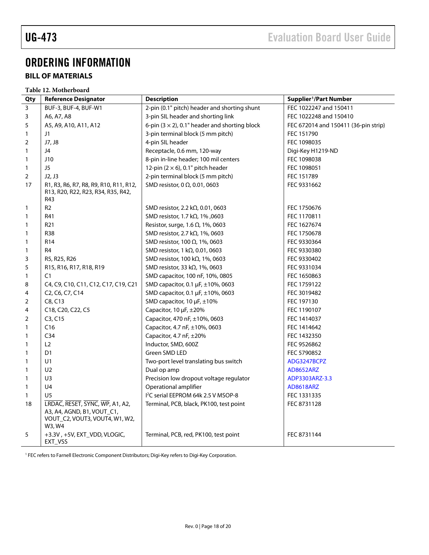## <span id="page-17-0"></span>ORDERING INFORMATION

### <span id="page-17-1"></span>**BILL OF MATERIALS**

|                | Table 12. Motherboard                                                                                     |                                                       |                                      |  |  |
|----------------|-----------------------------------------------------------------------------------------------------------|-------------------------------------------------------|--------------------------------------|--|--|
| Qty            | <b>Reference Designator</b>                                                                               | <b>Description</b>                                    | Supplier <sup>1</sup> /Part Number   |  |  |
| $\overline{3}$ | BUF-3, BUF-4, BUF-W1                                                                                      | 2-pin (0.1" pitch) header and shorting shunt          | FEC 1022247 and 150411               |  |  |
| 3              | A6, A7, A8                                                                                                | 3-pin SIL header and shorting link                    | FEC 1022248 and 150410               |  |  |
| 5              | A5, A9, A10, A11, A12                                                                                     | 6-pin $(3 \times 2)$ , 0.1" header and shorting block | FEC 672014 and 150411 (36-pin strip) |  |  |
| 1              | J1                                                                                                        | 3-pin terminal block (5 mm pitch)                     | FEC 151790                           |  |  |
| 2              | J7, J8                                                                                                    | 4-pin SIL header                                      | FEC 1098035                          |  |  |
| 1              | J4                                                                                                        | Receptacle, 0.6 mm, 120-way                           | Digi-Key H1219-ND                    |  |  |
| $\mathbf{1}$   | J10                                                                                                       | 8-pin in-line header; 100 mil centers                 | FEC 1098038                          |  |  |
| $\mathbf{1}$   | J5                                                                                                        | 12-pin $(2 \times 6)$ , 0.1" pitch header             | FEC 1098051                          |  |  |
| $\overline{2}$ | J2, J3                                                                                                    | 2-pin terminal block (5 mm pitch)                     | FEC 151789                           |  |  |
| 17             | R1, R3, R6, R7, R8, R9, R10, R11, R12,<br>R13, R20, R22, R23, R34, R35, R42,<br>R43                       | SMD resistor, 0 $\Omega$ , 0.01, 0603                 | FEC 9331662                          |  |  |
| 1              | R <sub>2</sub>                                                                                            | SMD resistor, 2.2 k $\Omega$ , 0.01, 0603             | FEC 1750676                          |  |  |
| 1              | R41                                                                                                       | SMD resistor, 1.7 k $\Omega$ , 1%, 0603               | FEC 1170811                          |  |  |
| $\mathbf{1}$   | R <sub>21</sub>                                                                                           | Resistor, surge, 1.6 $\Omega$ , 1%, 0603              | FEC 1627674                          |  |  |
| 1              | <b>R38</b>                                                                                                | SMD resistor, 2.7 k $\Omega$ , 1%, 0603               | FEC 1750678                          |  |  |
| 1              | R <sub>14</sub>                                                                                           | SMD resistor, 100 $\Omega$ , 1%, 0603                 | FEC 9330364                          |  |  |
| $\mathbf{1}$   | R4                                                                                                        | SMD resistor, 1 kΩ, 0.01, 0603                        | FEC 9330380                          |  |  |
| 3              | R5, R25, R26                                                                                              | SMD resistor, 100 k $\Omega$ , 1%, 0603               | FEC 9330402                          |  |  |
| 5              | R15, R16, R17, R18, R19                                                                                   | SMD resistor, 33 k $\Omega$ , 1%, 0603                | FEC 9331034                          |  |  |
| $\mathbf{1}$   | C1                                                                                                        | SMD capacitor, 100 nF, 10%, 0805                      | FEC 1650863                          |  |  |
| 8              | C4, C9, C10, C11, C12, C17, C19, C21                                                                      | SMD capacitor, 0.1 $\mu$ F, $\pm$ 10%, 0603           | FEC 1759122                          |  |  |
| 4              | C <sub>2</sub> , C <sub>6</sub> , C <sub>7</sub> , C <sub>14</sub>                                        | SMD capacitor, 0.1 $\mu$ F, $\pm$ 10%, 0603           | FEC 3019482                          |  |  |
| $\overline{2}$ | C8, C13                                                                                                   | SMD capacitor, 10 $\mu$ F, $\pm$ 10%                  | FEC 197130                           |  |  |
| 4              | C18, C20, C22, C5                                                                                         | Capacitor, $10 \mu$ F, $\pm 20\%$                     | FEC 1190107                          |  |  |
| 2              | C3, C15                                                                                                   | Capacitor, 470 nF, ±10%, 0603                         | FEC 1414037                          |  |  |
| $\mathbf{1}$   | C16                                                                                                       | Capacitor, 4.7 nF, $\pm$ 10%, 0603                    | FEC 1414642                          |  |  |
| $\mathbf{1}$   | C <sub>34</sub>                                                                                           | Capacitor, 4.7 nF, $\pm 20\%$                         | FEC 1432350                          |  |  |
| $\mathbf{1}$   | L2                                                                                                        | Inductor, SMD, 600Z                                   | FEC 9526862                          |  |  |
| $\mathbf{1}$   | D1                                                                                                        | Green SMD LED                                         | FEC 5790852                          |  |  |
| 1              | U1                                                                                                        | Two-port level translating bus switch                 | ADG3247BCPZ                          |  |  |
| 1              | U <sub>2</sub>                                                                                            | Dual op amp                                           | <b>AD8652ARZ</b>                     |  |  |
| 1              | U3                                                                                                        | Precision low dropout voltage regulator               | ADP3303ARZ-3.3                       |  |  |
| $\mathbf{1}$   | U <sub>4</sub>                                                                                            | Operational amplifier                                 | AD8618ARZ                            |  |  |
| $\mathbf{1}$   | U <sub>5</sub>                                                                                            | I <sup>2</sup> C serial EEPROM 64k 2.5 V MSOP-8       | FEC 1331335                          |  |  |
| 18             | LRDAC, RESET, SYNC, WP, A1, A2,<br>A3, A4, AGND, B1, VOUT_C1,<br>VOUT_C2, VOUT3, VOUT4, W1, W2,<br>W3, W4 | Terminal, PCB, black, PK100, test point               | FEC 8731128                          |  |  |
| 5              | +3.3V, +5V, EXT_VDD, VLOGIC,<br>EXT_VSS                                                                   | Terminal, PCB, red, PK100, test point                 | FEC 8731144                          |  |  |

FEC refers to Farnell Electronic Component Distributors; Digi-Key refers to Digi-Key Corporation.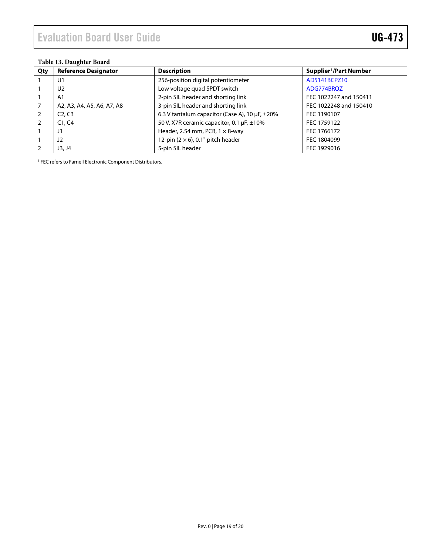#### **Table 13. Daughter Board**

| Qty            | <b>Reference Designator</b>     | <b>Description</b>                                       | Supplier <sup>1</sup> /Part Number |  |  |
|----------------|---------------------------------|----------------------------------------------------------|------------------------------------|--|--|
|                | U1                              | 256-position digital potentiometer                       | AD5141BCPZ10                       |  |  |
|                | U2                              | Low voltage quad SPDT switch                             | ADG774BRQZ                         |  |  |
|                | A <sub>1</sub>                  | 2-pin SIL header and shorting link                       | FEC 1022247 and 150411             |  |  |
| 7              | A2, A3, A4, A5, A6, A7, A8      | 3-pin SIL header and shorting link                       | FEC 1022248 and 150410             |  |  |
| 2              | C <sub>2</sub> , C <sub>3</sub> | 6.3 V tantalum capacitor (Case A), 10 $\mu$ F, $\pm$ 20% | FEC 1190107                        |  |  |
| $\overline{2}$ | C1, C4                          | 50 V, X7R ceramic capacitor, 0.1 $\mu$ F, $\pm$ 10%      | FEC 1759122                        |  |  |
|                | J1                              | Header, 2.54 mm, PCB, $1 \times 8$ -way                  | FEC 1766172                        |  |  |
|                | J2                              | 12-pin $(2 \times 6)$ , 0.1" pitch header                | FEC 1804099                        |  |  |
|                | J3, J4                          | 5-pin SIL header                                         | FEC 1929016                        |  |  |

FEC refers to Farnell Electronic Component Distributors.